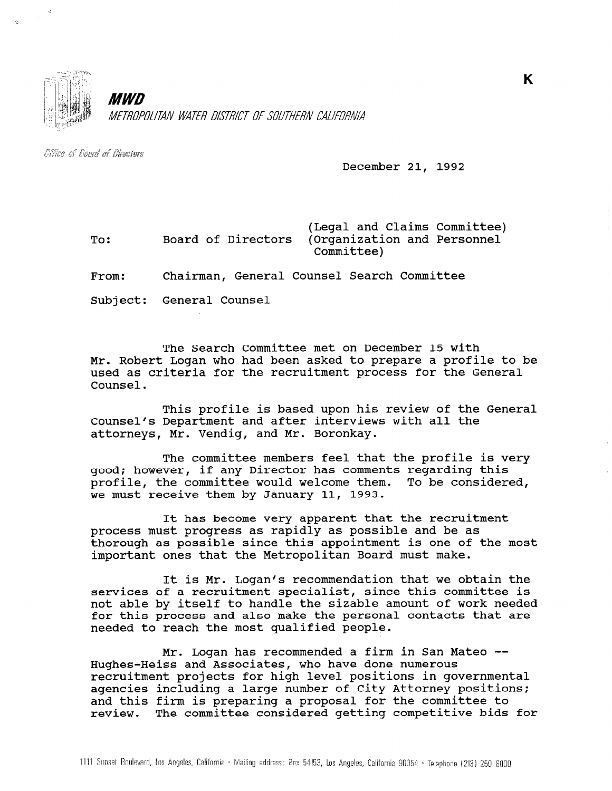

MWD METROPOLITAN WATER DISTRICT OF SOUTHERN CALIFORNIA

Citice of Boerd of Directors

December 21, 1992

To: (Legal and Claims Committee) Board of Directors (Organization and Personnel Committee)

From: Chairman, General Counsel Search Committee

Subject: General Counsel

The Search Committee met on December 15 with Mr. Robert Logan who had been asked to prepare a profile to be used as criteria for the recruitment process for the General Counsel.

This profile is based upon his review of the General Counsel's Department and after interviews with all the attorneys, Mr. Vendig, and Mr. Boronkay.

The committee members feel that the profile is very good; however, if any Director has comments regarding this profile, the committee would welcome them. To be considered, we must receive them by January 11, 1993.

It has become very apparent that the recruitment process must progress as rapidly as possible and be as thorough as possible since this appointment is one of the most important ones that the Metropolitan Board must make.

It is Mr. Logan's recommendation that we obtain the services of a recruitment specialist, since this committee is not able by itself to handle the sizable amount of work needed for this process and also make the personal contacts that are for this process and also make the personal contacts that are needed to reach the most qualified people.

Mr. Logan has recommended a firm in San Mateo -- Hughes-Heiss and Associates, who have done numerous recruitment and ASSOCIATES, who have done numerous<br>considerate positions for high level positions in government recruitment projects for nigh level positions in governmen agencies including a large number of city Attorney position and this firm is preparing a proposal for the committee to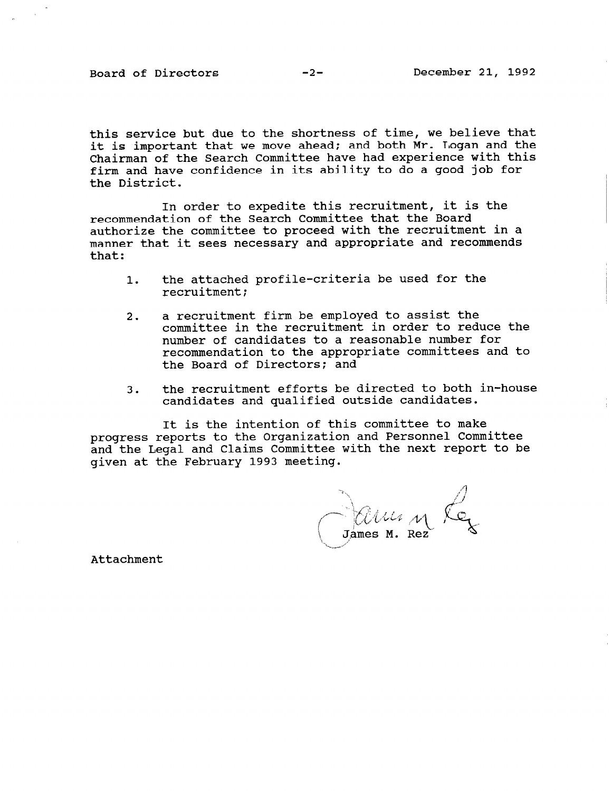this service but due to the shortness of time, we believe that it is important that we move ahead; and both Mr. Logan and the Chairman of the Search Committee have had experience with this firm and have confidence in its ability to do a good job for the District.

In order to expedite this recruitment, it is the recommendation of the Search Committee that the Board authorize the committee to proceed with the recruitment in a manner that it sees necessary and appropriate and recommends that:

- 1. the attached profile-criteria be used for the recruitment;
- 2. a recruitment firm be employed to assist the committee in the recruitment in order to reduce the number of candidates to a reasonable number for recommendation to the appropriate committees and to the Board of Directors: and
- 3. the recruitment efforts be directed to both in-house candidates and qualified outside candidates.

progress reports to the Organization and Personnel Committe It is the intention of this committee to make and the Legal and Claims Committee with the next report to be given at the February 1993 meeting.

James M. Rez

Attachment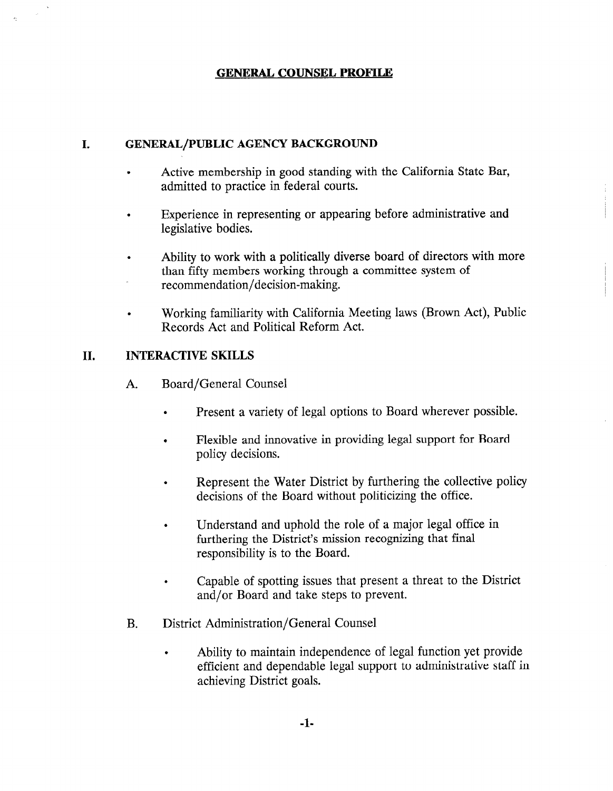## GENERAL COUNSEL PROFILE

## I. GENERAL/PUBLIC AGENCY BACKGROUND

- . Active membership in good standing with the California State Bar, admitted to practice in federal courts.
- . Experience in representing or appearing before administrative and legislative bodies.
- . Ability to work with a politically diverse board of directors with more than fifty members working through a committee system of recommendation/decision-making.
- . Working familiarity with California Meeting laws (Brown Act), Public Records Act and Political Reform Act.

## II. INTERACTIVE SKILLS

- A. Board/General Counsel
	- . Present a variety of legal options to Board wherever possible.
	- . Flexible and innovative in providing legal support for Board policy decisions.
	- . Represent the Water District by furthering the collective policy decisions of the Board without politicizing the office.
	- . Understand and uphold the role of a major legal office in furthering the District's mission recognizing that final responsibility is to the Board.
	- . Capable of spotting issues that present a threat to the District and/or Board and take steps to prevent.
- B. District Administration/General Counsel
	- . Ability to maintain independence of legal function yet provide efficient and dependable legal support to administrative staff in achieving District goals.